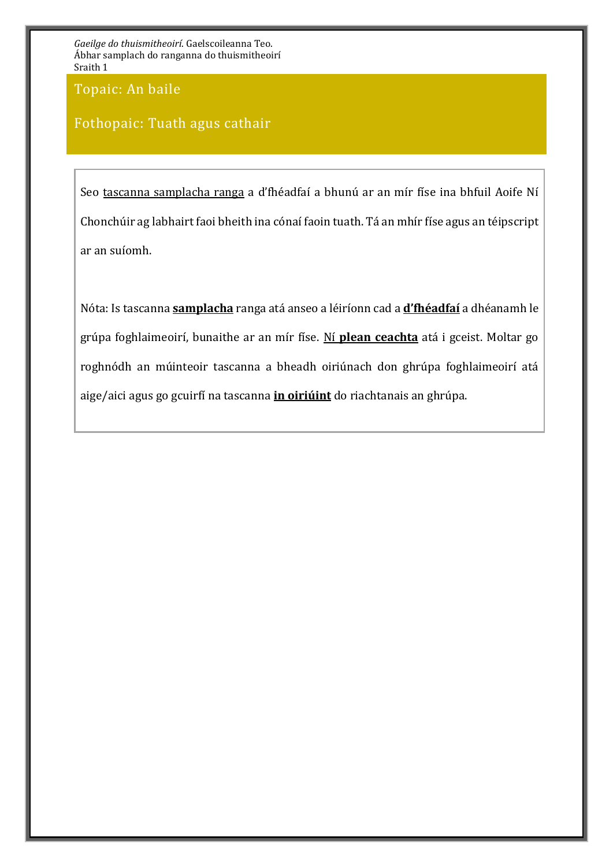Topaic: An baile

## Fothopaic: Tuath agus cathair

Seo tascanna samplacha ranga a d'fhéadfaí a bhunú ar an mír físe ina bhfuil Aoife Ní Chonchúir ag labhairt faoi bheith ina cónaí faoin tuath. Tá an mhír físe agus an téipscript ar an suíomh.

Nóta: Is tascanna **samplacha** ranga atá anseo a léiríonn cad a **d'fhéadfaí** a dhéanamh le grúpa foghlaimeoirí, bunaithe ar an mír físe. Ní **plean ceachta** atá i gceist. Moltar go roghnódh an múinteoir tascanna a bheadh oiriúnach don ghrúpa foghlaimeoirí atá aige/aici agus go gcuirfí na tascanna **in oiriúint** do riachtanais an ghrúpa.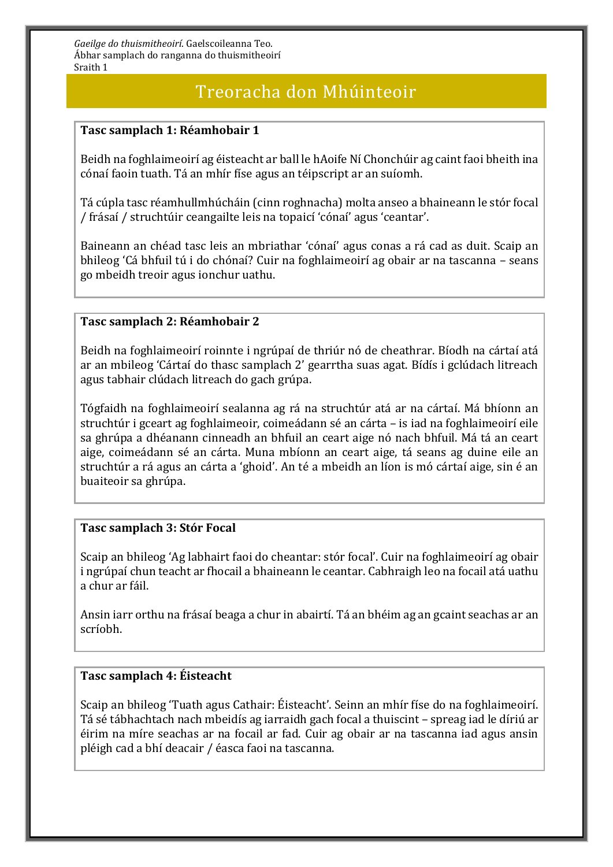## Treoracha don Mhúinteoir

### **Tasc samplach 1: Réamhobair 1**

Beidh na foghlaimeoirí ag éisteacht ar ball le hAoife Ní Chonchúir ag caint faoi bheith ina cónaí faoin tuath. Tá an mhír físe agus an téipscript ar an suíomh.

Tá cúpla tasc réamhullmhúcháin (cinn roghnacha) molta anseo a bhaineann le stór focal / frásaí / struchtúir ceangailte leis na topaicí 'cónaí' agus 'ceantar'.

Baineann an chéad tasc leis an mbriathar 'cónaí' agus conas a rá cad as duit. Scaip an bhileog 'Cá bhfuil tú i do chónaí? Cuir na foghlaimeoirí ag obair ar na tascanna – seans go mbeidh treoir agus ionchur uathu.

#### **Tasc samplach 2: Réamhobair 2**

Beidh na foghlaimeoirí roinnte i ngrúpaí de thriúr nó de cheathrar. Bíodh na cártaí atá ar an mbileog 'Cártaí do thasc samplach 2' gearrtha suas agat. Bídís i gclúdach litreach agus tabhair clúdach litreach do gach grúpa.

Tógfaidh na foghlaimeoirí sealanna ag rá na struchtúr atá ar na cártaí. Má bhíonn an struchtúr i gceart ag foghlaimeoir, coimeádann sé an cárta – is iad na foghlaimeoirí eile sa ghrúpa a dhéanann cinneadh an bhfuil an ceart aige nó nach bhfuil. Má tá an ceart aige, coimeádann sé an cárta. Muna mbíonn an ceart aige, tá seans ag duine eile an struchtúr a rá agus an cárta a 'ghoid'. An té a mbeidh an líon is mó cártaí aige, sin é an buaiteoir sa ghrúpa.

### **Tasc samplach 3: Stór Focal**

Scaip an bhileog 'Ag labhairt faoi do cheantar: stór focal'. Cuir na foghlaimeoirí ag obair i ngrúpaí chun teacht ar fhocail a bhaineann le ceantar. Cabhraigh leo na focail atá uathu a chur ar fáil.

Ansin iarr orthu na frásaí beaga a chur in abairtí. Tá an bhéim ag an gcaint seachas ar an scríobh.

### **Tasc samplach 4: Éisteacht**

Scaip an bhileog 'Tuath agus Cathair: Éisteacht'. Seinn an mhír físe do na foghlaimeoirí. Tá sé tábhachtach nach mbeidís ag iarraidh gach focal a thuiscint – spreag iad le díriú ar éirim na míre seachas ar na focail ar fad. Cuir ag obair ar na tascanna iad agus ansin pléigh cad a bhí deacair / éasca faoi na tascanna.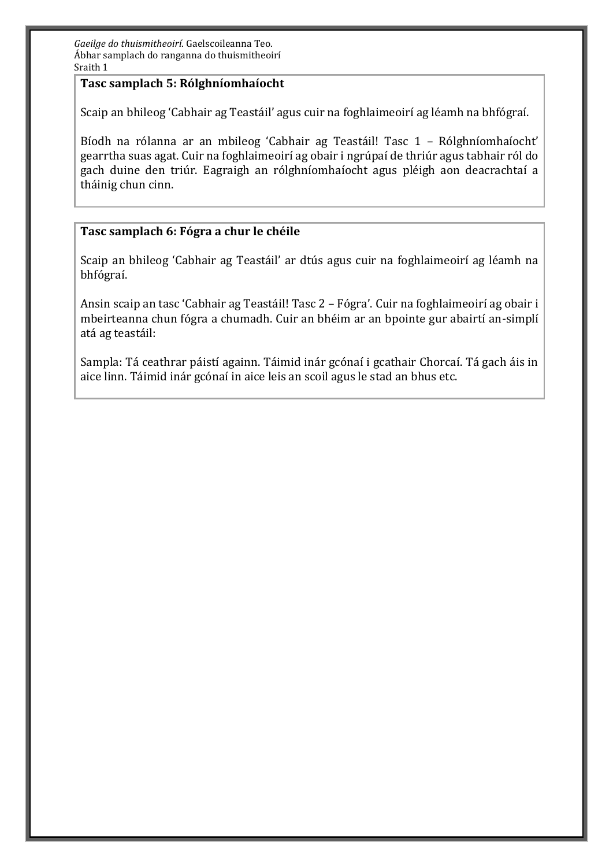#### **Tasc samplach 5: Rólghníomhaíocht**

Scaip an bhileog 'Cabhair ag Teastáil' agus cuir na foghlaimeoirí ag léamh na bhfógraí.

Bíodh na rólanna ar an mbileog 'Cabhair ag Teastáil! Tasc 1 – Rólghníomhaíocht' gearrtha suas agat. Cuir na foghlaimeoirí ag obair i ngrúpaí de thriúr agus tabhair ról do gach duine den triúr. Eagraigh an rólghníomhaíocht agus pléigh aon deacrachtaí a tháinig chun cinn.

### **Tasc samplach 6: Fógra a chur le chéile**

Scaip an bhileog 'Cabhair ag Teastáil' ar dtús agus cuir na foghlaimeoirí ag léamh na bhfógraí.

Ansin scaip an tasc 'Cabhair ag Teastáil! Tasc 2 – Fógra'. Cuir na foghlaimeoirí ag obair i mbeirteanna chun fógra a chumadh. Cuir an bhéim ar an bpointe gur abairtí an-simplí atá ag teastáil:

Sampla: Tá ceathrar páistí againn. Táimid inár gcónaí i gcathair Chorcaí. Tá gach áis in aice linn. Táimid inár gcónaí in aice leis an scoil agus le stad an bhus etc.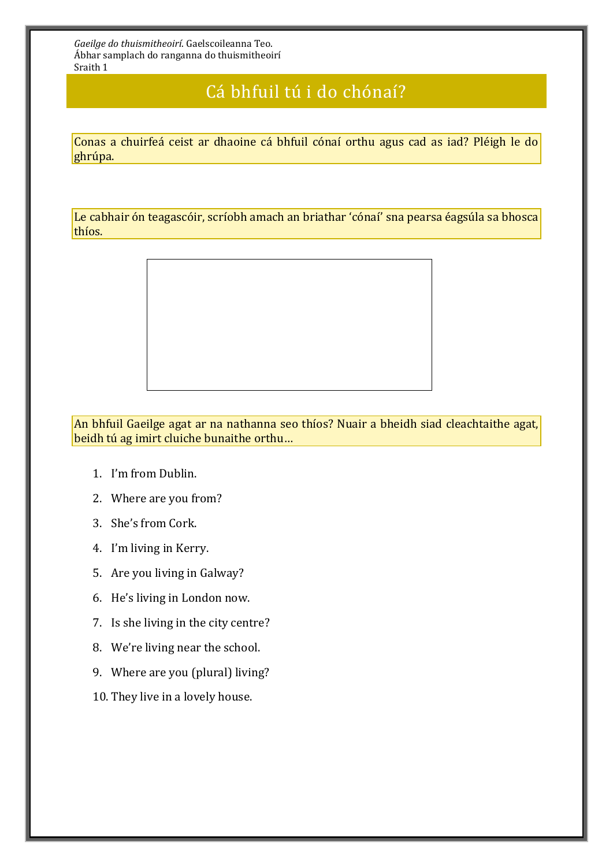## Cá bhfuil tú i do chónaí?

Conas a chuirfeá ceist ar dhaoine cá bhfuil cónaí orthu agus cad as iad? Pléigh le do ghrúpa.

Le cabhair ón teagascóir, scríobh amach an briathar 'cónaí' sna pearsa éagsúla sa bhosca thíos.



An bhfuil Gaeilge agat ar na nathanna seo thíos? Nuair a bheidh siad cleachtaithe agat, beidh tú ag imirt cluiche bunaithe orthu…

- 1. I'm from Dublin.
- 2. Where are you from?
- 3. She's from Cork.
- 4. I'm living in Kerry.
- 5. Are you living in Galway?
- 6. He's living in London now.
- 7. Is she living in the city centre?
- 8. We're living near the school.
- 9. Where are you (plural) living?
- 10. They live in a lovely house.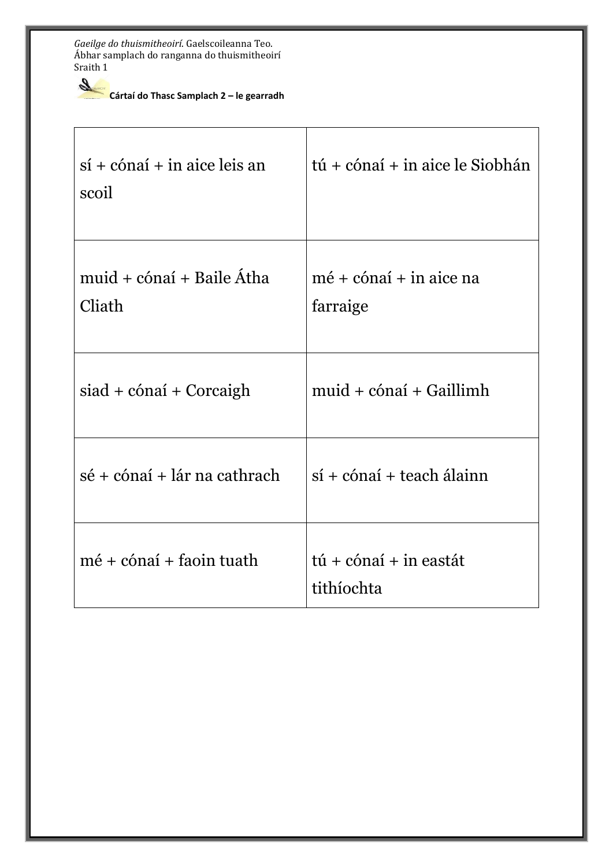**Cártaí do Thasc Samplach 2 – le gearradh** 

| $s$ í + cónaí + in aice leis an<br>scoil | tú + cónaí + in aice le Siobhán                |
|------------------------------------------|------------------------------------------------|
| muid + cónaí + Baile Átha<br>Cliath      | $m\acute{e}$ + cónaí + in aice na<br>farraige  |
| siad + cónaí + Corcaigh                  | $muid + cónaí + Gaillimh$                      |
| sé + cónaí + lár na cathrach             | $s$ í + cónaí + teach álainn                   |
| $m\acute{e}$ + cónaí + faoin tuath       | $t\acute{u}$ + cónaí + in eastát<br>tithíochta |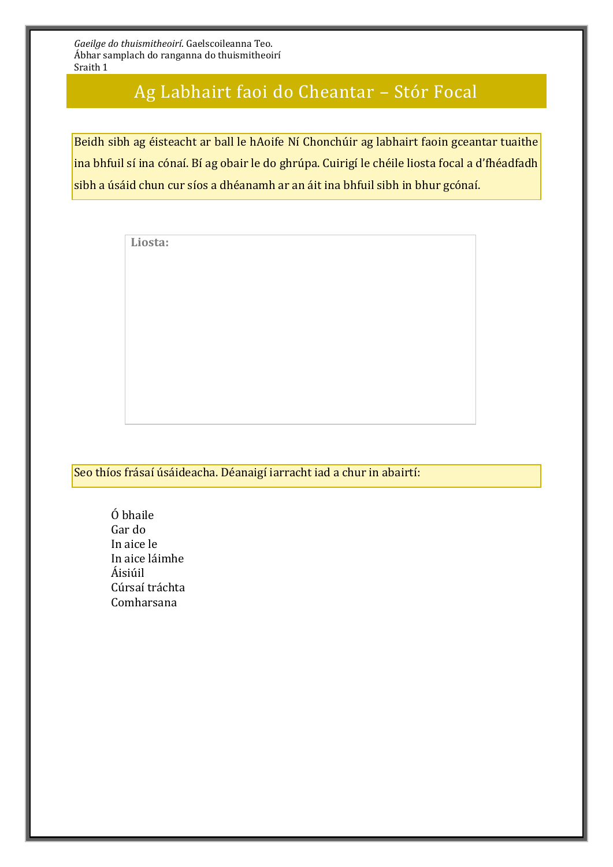## Ag Labhairt faoi do Cheantar – Stór Focal

Beidh sibh ag éisteacht ar ball le hAoife Ní Chonchúir ag labhairt faoin gceantar tuaithe ina bhfuil sí ina cónaí. Bí ag obair le do ghrúpa. Cuirigí le chéile liosta focal a d'fhéadfadh sibh a úsáid chun cur síos a dhéanamh ar an áit ina bhfuil sibh in bhur gcónaí.

**Liosta:**

## Seo thíos frásaí úsáideacha. Déanaigí iarracht iad a chur in abairtí:

Ó bhaile Gar do In aice le In aice láimhe Áisiúil Cúrsaí tráchta Comharsana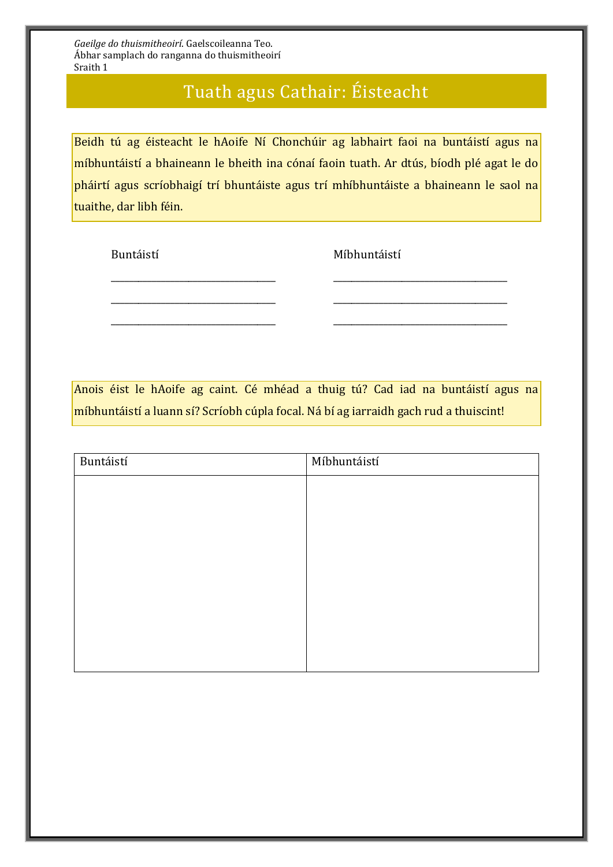# Tuath agus Cathair: Éisteacht

Beidh tú ag éisteacht le hAoife Ní Chonchúir ag labhairt faoi na buntáistí agus na míbhuntáistí a bhaineann le bheith ina cónaí faoin tuath. Ar dtús, bíodh plé agat le do pháirtí agus scríobhaigí trí bhuntáiste agus trí mhíbhuntáiste a bhaineann le saol na tuaithe, dar libh féin.

\_\_\_\_\_\_\_\_\_\_\_\_\_\_\_\_\_\_\_\_\_\_\_\_\_\_\_\_\_\_\_\_\_\_\_\_ \_\_\_\_\_\_\_\_\_\_\_\_\_\_\_\_\_\_\_\_\_\_\_\_\_\_\_\_\_\_\_\_\_\_\_\_\_\_

\_\_\_\_\_\_\_\_\_\_\_\_\_\_\_\_\_\_\_\_\_\_\_\_\_\_\_\_\_\_\_\_\_\_\_\_ \_\_\_\_\_\_\_\_\_\_\_\_\_\_\_\_\_\_\_\_\_\_\_\_\_\_\_\_\_\_\_\_\_\_\_\_\_\_

\_\_\_\_\_\_\_\_\_\_\_\_\_\_\_\_\_\_\_\_\_\_\_\_\_\_\_\_\_\_\_\_\_\_\_\_ \_\_\_\_\_\_\_\_\_\_\_\_\_\_\_\_\_\_\_\_\_\_\_\_\_\_\_\_\_\_\_\_\_\_\_\_\_\_

Buntáistí Míbhuntáistí

Anois éist le hAoife ag caint. Cé mhéad a thuig tú? Cad iad na buntáistí agus na míbhuntáistí a luann sí? Scríobh cúpla focal. Ná bí ag iarraidh gach rud a thuiscint!

| Buntáistí | Míbhuntáistí |
|-----------|--------------|
|           |              |
|           |              |
|           |              |
|           |              |
|           |              |
|           |              |
|           |              |
|           |              |
|           |              |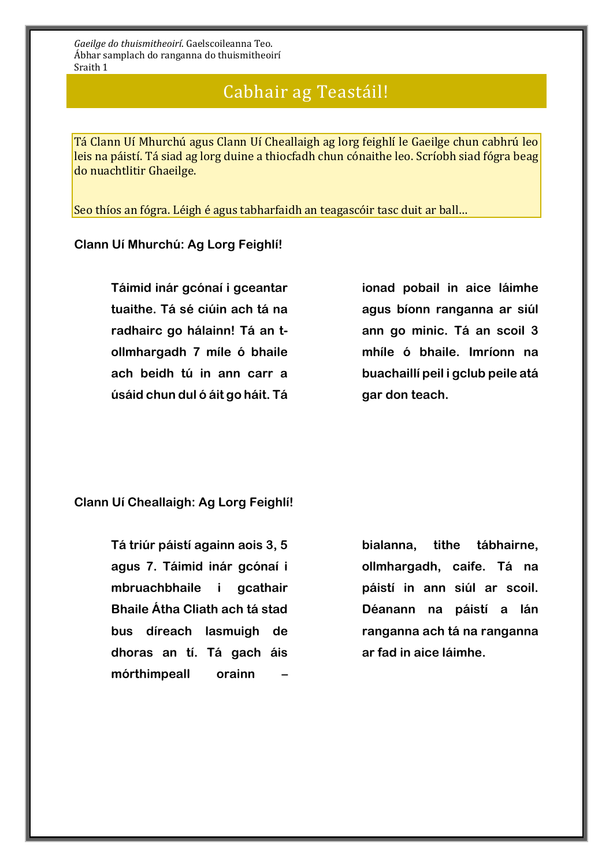## Cabhair ag Teastáil!

Tá Clann Uí Mhurchú agus Clann Uí Cheallaigh ag lorg feighlí le Gaeilge chun cabhrú leo leis na páistí. Tá siad ag lorg duine a thiocfadh chun cónaithe leo. Scríobh siad fógra beag do nuachtlitir Ghaeilge.

Seo thíos an fógra. Léigh é agus tabharfaidh an teagascóir tasc duit ar ball…

#### **Clann Uí Mhurchú: Ag Lorg Feighlí!**

**Táimid inár gcónaí i gceantar tuaithe. Tá sé ciúin ach tá na radhairc go hálainn! Tá an tollmhargadh 7 míle ó bhaile ach beidh tú in ann carr a úsáid chun dul ó áit go háit. Tá**  **ionad pobail in aice láimhe agus bíonn ranganna ar siúl ann go minic. Tá an scoil 3 mhíle ó bhaile. Imríonn na buachaillí peil i gclub peile atá gar don teach.** 

**Clann Uí Cheallaigh: Ag Lorg Feighlí!**

**Tá triúr páistí againn aois 3, 5 agus 7. Táimid inár gcónaí i mbruachbhaile i gcathair Bhaile Átha Cliath ach tá stad bus díreach lasmuigh de dhoras an tí. Tá gach áis mórthimpeall orainn –**

**bialanna, tithe tábhairne, ollmhargadh, caife. Tá na páistí in ann siúl ar scoil. Déanann na páistí a lán ranganna ach tá na ranganna ar fad in aice láimhe.**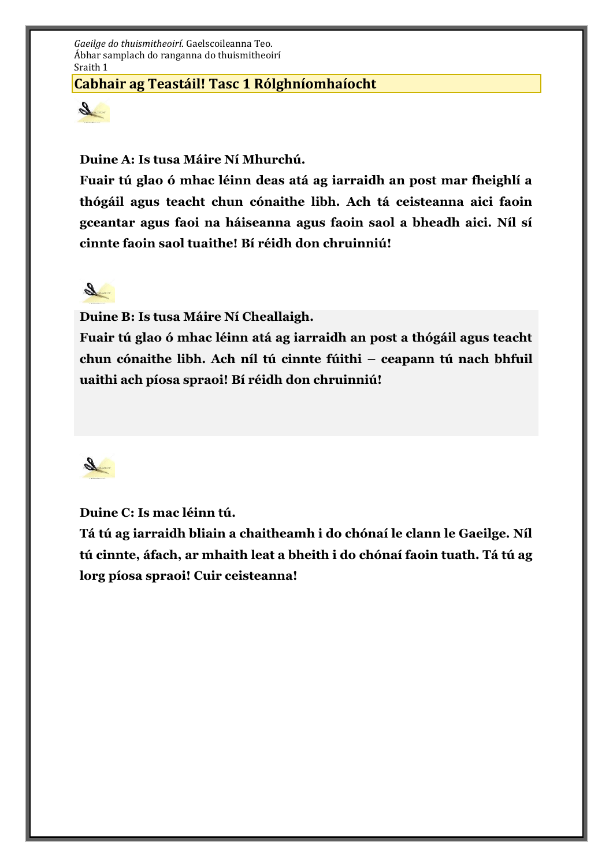## **Cabhair ag Teastáil! Tasc 1 Rólghníomhaíocht**



**Duine A: Is tusa Máire Ní Mhurchú.** 

**Fuair tú glao ó mhac léinn deas atá ag iarraidh an post mar fheighlí a thógáil agus teacht chun cónaithe libh. Ach tá ceisteanna aici faoin gceantar agus faoi na háiseanna agus faoin saol a bheadh aici. Níl sí cinnte faoin saol tuaithe! Bí réidh don chruinniú!**



**Duine B: Is tusa Máire Ní Cheallaigh.** 

**Fuair tú glao ó mhac léinn atá ag iarraidh an post a thógáil agus teacht chun cónaithe libh. Ach níl tú cinnte fúithi – ceapann tú nach bhfuil uaithi ach píosa spraoi! Bí réidh don chruinniú!** 



**Duine C: Is mac léinn tú.**

**Tá tú ag iarraidh bliain a chaitheamh i do chónaí le clann le Gaeilge. Níl tú cinnte, áfach, ar mhaith leat a bheith i do chónaí faoin tuath. Tá tú ag lorg píosa spraoi! Cuir ceisteanna!**